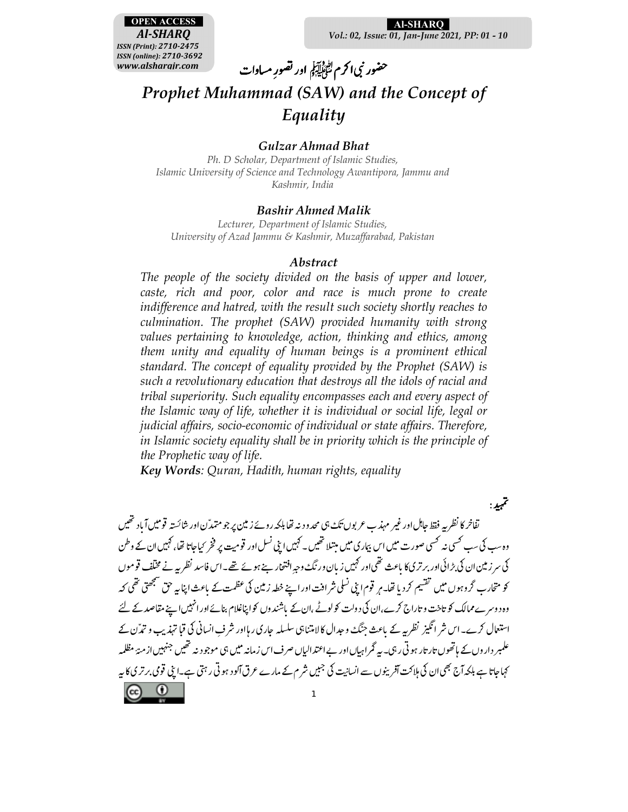

Al-SHARO Vol.: 02, Issue: 01, Jan-June 2021, PP: 01 - 10

# حضور نبى اكرم لتَأْمُلِيَكِمُ اور تصورِ مساوات Prophet Muhammad (SAW) and the Concept of Equality

### **Gulzar Ahmad Bhat**

Ph. D Scholar, Department of Islamic Studies, Islamic University of Science and Technology Awantipora, Jammu and Kashmir, India

### **Bashir Ahmed Malik**

Lecturer, Department of Islamic Studies, University of Azad Jammu & Kashmir, Muzaffarabad, Pakistan

### *Abstract*

The people of the society divided on the basis of upper and lower, caste, rich and poor, color and race is much prone to create indifference and hatred, with the result such society shortly reaches to culmination. The prophet (SAW) provided humanity with strong values pertaining to knowledge, action, thinking and ethics, among them unity and equality of human beings is a prominent ethical standard. The concept of equality provided by the Prophet (SAW) is such a revolutionary education that destroys all the idols of racial and tribal superiority. Such equality encompasses each and every aspect of the Islamic way of life, whether it is individual or social life, legal or judicial affairs, socio-economic of individual or state affairs. Therefore, in Islamic society equality shall be in priority which is the principle of the Prophetic way of life.

Key Words: Quran, Hadith, human rights, equality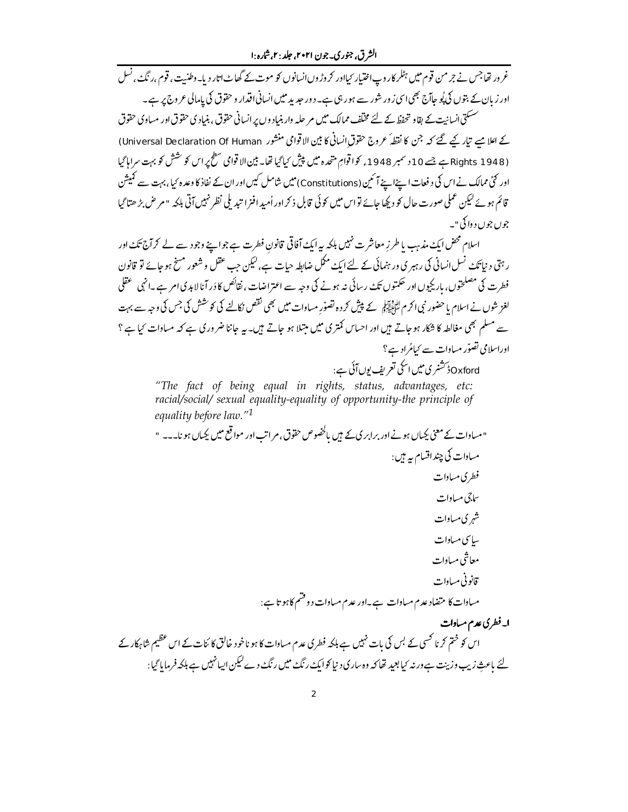غرور تھاجس نے جرمن قوم میں ہٹلر کاروپ اختیار <sub>کیل</sub>اور کروڑوں انسانوں کو موت کے گھاٹ اتار دیا۔وطنیت، قوم ،رنگ ، نسل اور زیان کے بتوں کی پُوجاآج بھی اسی زور شور سے ہورہی ہے۔ دور حدید میں انسانی اقدار و حقوق کی پامالی عروج پر ہے۔ ۔<br>سسکتی انسانیت کے بقاو تحفظ کے لئے مختلف ممالک میں مر حلیہ وار بنیاد وں پر انسانی حقوق ، بنیادی حقوق اور مساوی حقوق کے اعلا میے تیار کیے گئے کہ جن کا نقطہٗ عروج حقوق انسانی کا بین الا قوامی منشور Universal Declaration Of Human) (1948 Rights ہے جسے 10 دسمبر 1948ء کواقوامِ متحدہ میں پیش کیا گیا تھا۔ بین الاقوامی سطح پر اس کو شش کو بہت سراہاگیا اور کئی ممالک نے اس کی د فعات اپنےاسےآ سمیں (Constitutions) میں شامل کیں اور ان کے نفاذ کا وعدہ کیا ،بہت سے کمیشن قائم ہوئے کیکن عملی صورت حال کو دبچا جائے تواس میں کوئی قابل ذکراور اُمیدافنرا تید ملی نظر نہیں آتی بلکہ " مر ض بڑ ھتاگیا جوں جوں د واکی"۔ اسلام محض ایک مذہب یا طرزِ معاشر ت نہیں بلکہ یہ ایک آفاقی قانون فطرت ہے جو اپنے وجود سے لے کر آج تکٹ اور

ر ہتی د نیا تک نسل انسانی کی رہبر ی ور ہنمائی کے لئے ایک ممکل ضابطہ حیات ہے، لیکن جب عقل و شعور مسخ ہو جائے تو قانون فطرت کی مصلحتوں، باریکیوں اور حکمتوں تک رسائی نہ ہونے کی وجہ سے اعتراضات ، نقائص کا دَر آنا لاہد کی امر ہے ۔انہی عقلی لغز شوں نے اسلام یا حضور نبی اکر م لٹائیاتیوں کے پیش کر دہ تصوّر مساوات میں بھی نقص نکالنے کی کو حشش کی جس کی وجہ سے بہت سے مسلم بھی مغالطہ کا شکار ہوجاتے ہیں اور احساس کمتر کی میں مبتلا ہو جاتے ہیں۔ یہ جاننا ضرور کی ہے کہ مساوات کیا ہے ؟ اوراسلامی تصوّر مساوات سے کیامُراد ہے؟ Oxford ڈ کشنری میں ایکی تعریف یوں آئی ہے :

"The fact of being equal in rights, status, advantages, etc: racial/social/ sexual equality-equality of opportunity-the principle of equality before law."<sup>1</sup>

" میادات کے معنی کھاں ہونے اور پرابر کی کے ہیں پاکٹھوس حقوق، م اتب اور مواقع میں کھاں ہو نایہ پہ " مساوات کی چند اقسام ہیے ہیں : فطري مساوات ساچي مساوات شہر کی مساوات ساسى مىيادات معاشي مساوات قانوني مساوات میادات کا متضاد عدم میادات ہے۔اور عدم میادات دو قسم کا ہوتا ہے : ا۔فطری عدم مساوات اس کو ختم کرنا کھی کے بس کی بات نہیں ہے بلکہ فطر کی عدم مساوات کا ہو ناخود خالق کا ئنات کے اس عظیم شاہکار کے لئے باعث زیب وزینت ہے ورنہ کیا بعید تھا کہ وہ ساری د نیا کوایک رنگ میں رنگ دے لیکن ایپانہیں ہے بلکہ فرمایا گیا: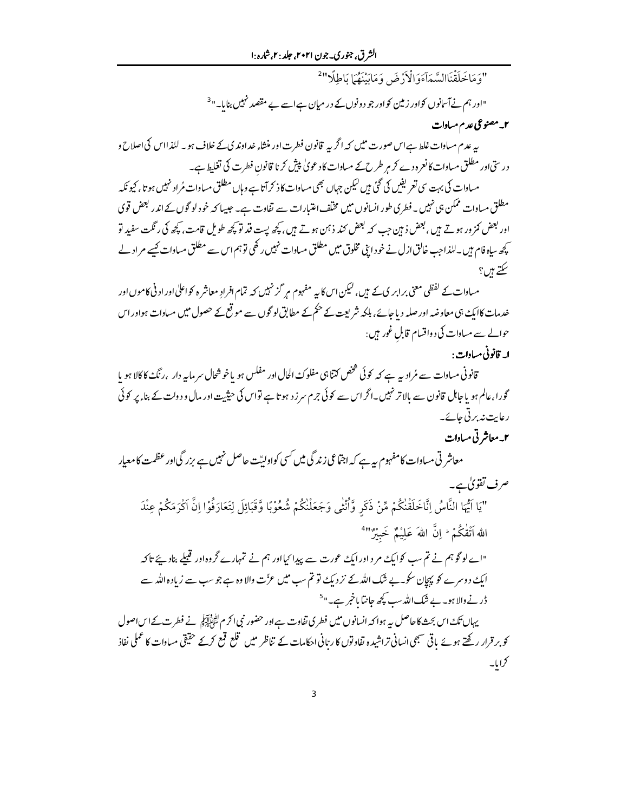"وَمَاخَلَقْنَاالسَّمَآءَوَالْأَرْضَ وَمَابَيْنَهُمَا بَاطِلًا"

"اور ہم نےآسانوں کواور زمین کواور جو د ونوں کے در میان ہےاسے بے مقصد <sup>زم</sup>ییں بنایا۔"<sup>3</sup>

۲\_ مصنوعی عدم مسادات

پہ عدم مسادات غلط ہےاس صورت میں کہ اگر پہ قانون فطرت اور منشاء خداوند کی کے خلاف ہو۔ للذااس کی اصلاح و درستی اور مطلق مساوات کا نعرہ دے کر ہر طرح کے مساوات کا دعویٰ پیش کر نا قانون فطرت کی تغلیط ہے۔

مساوات کی بہت سی تعریفیں کی گئی ہیں کیکن جہاں بھی مساوات کاذ کرآتا ہے وہاں مطلق مساوات مُراد نہیں ہو تا، کیونکہ مطلق مساوات ممکن ہی نہیں ۔فطری طور انسانوں میں مخلف اعتیارات سے نفاوت ہے۔ جیسا کہ خود لو گوں کے اندر لبھنں قوی اور لبعض کمز ور ہوتے ہیں ،لبھن ذہن جب کہ لبھٹ کند ذہن ہوتے ہیں ، کچھ پست قد تو کچھ طویل قامت، کچھ کی رنگت سفید تو یچھ ساہ فام ہیں۔للذاجب خالق ازل نے خود اپنی مخلوق میں مطلق مساوات نہیں رکھی تو ہم اس سے مطلق مساوات کیے مر اد لے سکتے ہیں؟

مساوات کے لفظی معنی برابر ی کے میں، لیکن اس کا بہ مفہوم مر گزنہیں کہ تمام افرادِ معاشر ہ کواعلٰی اور اد ٹی کاموں اور خدمات کاایک ہی معاوضہ اور صلہ دیا جائے، ہلکہ شریعت کے حکم کے مطابق لو گوں سے موقع کے حصول میں مساوات ہواور اس حوالے سے مساوات کی د واقسام قابل غور ہیں :

### ا۔ قانونی مساوات :

.<br>قانونی مساوات سے مُرادیہ ہے کہ کوئی شخص کتنا ہی مفلوک الحال اور مفلس ہو یا خوشحال سرمایہ دار<sub>ے</sub> رنگ کاکالا ہو یا گورا،عالم ہو یا جاہل قانون سے بالاتر نہیں۔اگراس سے کوئی جرم سر ز د ہو تا ہے تواس کی حیثیت اور مال و دولت کے بنا، پر کوئی رعایت نه بر تی جائے۔

۲۔معاشر تی مساوات

معاشر تی مساوات کامفہوم ہیہ ہے کہ اجتماعی زندگی میں کسی کواولیّت حاصل نہیں ہے بزرگیااور عظمت کامعیار صرف تفويٰ ہے۔

"يَا اَيُّهَا النَّاسُ اِنَّاخَلَقْنٰكُمْ مِّنْ ذَكَرٍ وَّأْنْثٰى وَجَعَلْنٰكُمْ شُعُوْبًا وَّقَبَائِلَ لِتَعَارَفُوْا اِنَّ اكْرَمَكُمْ عِنْدَ الله اَتْقْكُمْ ۚ إِنَّ اللهَ عَلِيْمٌ خَبِيْرٌ "

"اے لوگو ہم نے تم سب کوایک مر داور ایک عورت سے پیدا کیااور ہم نے تمہارے گروہ اور قبیلے بنادیئے تاکہ ایک دوسرے کو پہچان سکو۔بے شک اللہ کے نز دیکے تو تم سب میں عزّت والا وہ ہے جو سب سے زیادہ اللہ سے ڈر نے والا ہو۔ بے شک اللہ سب کچھ جانتا یاخبر ہے۔ "<sup>5</sup>

یہاں تک اس بحث کاحاصل یہ ہوا کہ انسانوں میں فطر کی تفاوت ہےاور حضور نبی اکرم ﷺ نے فطرت کے اس اصول کو بر قرار رکھتے ہوئے ہاتی سبھی انسانی تراشیدہ نفاوتوں کا ر<sub>تا</sub>نی احکامات کے تناظر میں قلع قمع کرکے حقیقی مساوات کا عملی نفاذ كرايا۔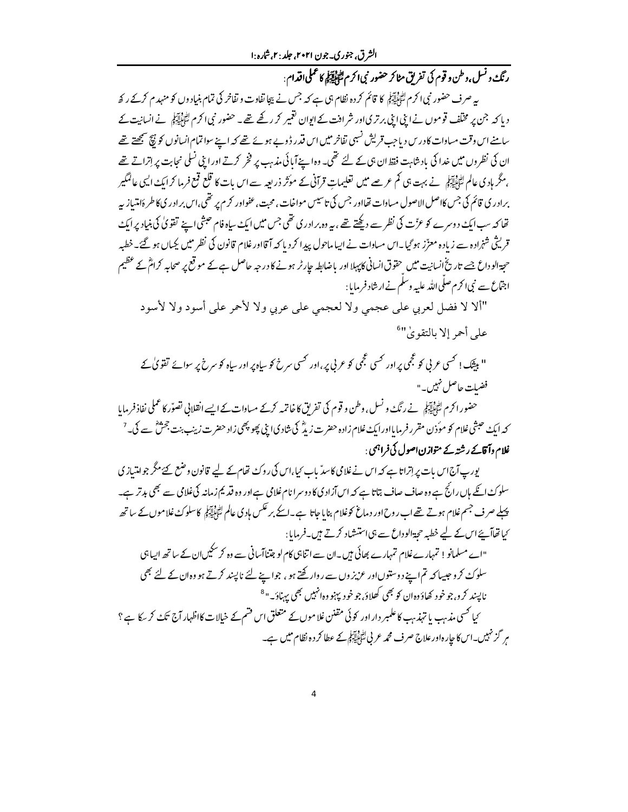ر نگء و نسل ،وطن و قوم کی تفریق مٹاکر حضور نبی اکرم اﷺ کا عملی اقدام : بیہ صرف حضور نبی اکرم لٹواتی ہو کا قائم کر دہ نظام ہی ہے کہ جس نے پیجا تفاوت و تفاخر کی تمام بنیاد وں کو منہد م کرکے رکھ د پا کہ جن پر مخلف قوموں نے اپنی اپنی برتری اور شرافت کے ایوان تغییر کر رکھے تھے ۔ حضور نبی اکرم لٹانی آئی نے انسانیت کے سامنے اس وقت مساوات کا درس دیا جب قریش نسبی تفاخر میں اس قدر ڈوپے ہوئے تھے کہ اپنے سواتمام انسانوں کو پیچ سمجھتے تھے ان کی نظروں میں غدا کی باد شاہت فقط ان ہی کے لئے تھی۔ وہ اپنے آبائی مذہب پر فخر کرتے اور اپنی نسلی نجابت پر إتراتے تھے ،مگر ہادی عالم لٹائیاتی نے بہت ہی کم عرصے میں تعلیمات قرآنی کے موَثر ذریعہ سے اس بات کا قلع قمع فرما کر ایک ایسی عالمگیر برادر ی قائم کی جس کااصل الاصول مساوات تھااور جس کی تاسیس مواخات ، محبت ،عفواور کرم پر تھی،اس برادر یکاطر ۂامتیاز بپر تھا کہ سب ایک دوسرے کو عزّت کی نظر سے دیکھتے تھے ، بیہ وہ برادر کی تھی جس میں ایک سیاہ فام حبثی اپنے تقویٰ کی بنیاد پر ایک قریثی شہْرادہ سے زیادہ معرِّز ہو گیا۔اس مساوات نے ایپاماحول پیدا کر دیا کہ آقااور غلام قانون کی نظر میں کیماں ہو گئے۔خطبہ حجۃ الوداع جسے تاریخ انسانیت میں حقوق انسانی کاپہلا اور باضابطہ جارٹر ہونے کا درجہ حاصل ہے کے موقع پر صحابہ کرامؓ کے عظیم اجتّماع سے نبی اکرم صلی اللہ علیہ وسلم نے ارشاد فرمایا :

"ألا لا فضل لعربي على عجمي ولا لعجمي على عربي ولا لأحمر على أسود ولا لأسود على أحمر إلا بالتقويٰ"

" بیٹک ! کسی عربی کو عجمی پر اور کسی عجمی کو عربی پر، اور کسی سرخ کو ساہ پر اور ساہ کو سرخ پر سوائے تفویٰ کے فضيلت حاصل نہيں۔"

حضور اکرم لٹائاتی ہے ۔ نے رنگ و نسل ، وطن و قوم کی تفریق کا خاتمہ کرکے مساوات کے ایسے انقلابی تصوّر کا عملی نفاذ فرمایا کہ ایک حبشی غلام کو موّذن مقرر فرمایااور ایک غلام زادہ حضرت زیڈ کی شادی ابنی پھو پھی زاد حضرت زینب بنت جحمّ ؓ سے کی۔<sup>7</sup> غلام وآقامے رشتہ کے متوازن اصول کی فراہمی :

پورپ آج اس بات پر اِتراتا ہے کہ اس نے غلامی کاسدٌ باب کیا،اس کی روک تھام کے لیے قانون وضع کئے مگر جو امتیاز ی سلوکٹ انکے ہاں رائج ہے وہ صاف صاف بتاتا ہے کہ اس آزاد کی کا دوسرا نام غلامی ہےاور وہ قدیم زمانہ کی غلامی سے بھی بدتر ہے۔ پہلے صرف جسم غلام ہوتے تھے اب روح اور د ماغ کوغلام بنایا جاتا ہے۔ایکے بر عکس ہادی عالم لٹائی لیکنچ کا سلوک غلاموں کے ساتھ کیاتھاآہئےاس کے لیے خطبہ حجۃالوداع سے ہی استشاد کرتے ہیں۔فرمایا:

"اے مسلمانو ! تمہارےغلام تمہارے بھائی ہیں۔ان سے اتناہی کام لو جتناآسانی سے وہ کرسکیںان کے ساتھ ایپاہی سلوکٹ کرو جیسا کہ تم اپنے دوستوںاور عزیز وں سے روار گھتے ہو ، جوابنے لئے ناپسند کرتے ہو وہ ان کے لئے بھی نايسند کرو، جوخود کھاؤوہان کو بھی کھلاؤ, جوخود پہنو وہ انہیں بھی بہناؤ۔"<sup>8</sup> کیا کسی مذہب یا تہذہب کا علمبر دار اور کوئی مقنن غلاموں کے متعلق اس قتم کے خیالات کااظہار آج تکۓ کر بیکا ہے ؟ مرِ گزنہیں۔اس کا جارہ اور علاج صرف محمہ عربی لتّٰہُ لِیٓآئِی کے عطا کر دہ نظام میں ہے۔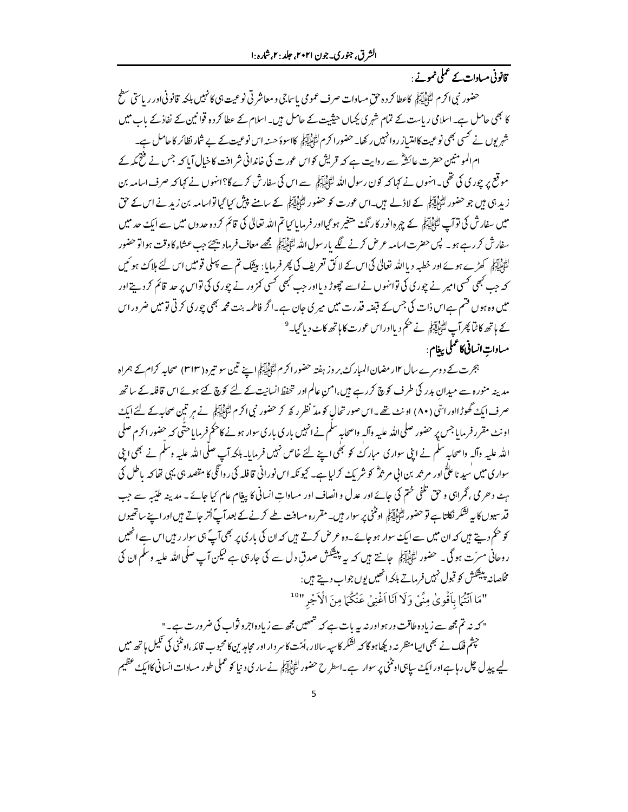## قانونی مساوات کے عملی نمونے ·

حضور نبي اکرم لِتَأْلِيَةٍ لِمَ عطا کرده حق مساوات صرف عمومي با ساجي و معاشر تي نوعيت بي کانهبيں بلکه قانوني اور رياستي سطح کا بھی حامل ہے۔اسلامی ریاست کے تمام شہری بکیاں حیثیت کے حامل ہیں۔اسلام کے عطا کردہ قوانین کے نفاذ کے باب میں شہر یوں نے کسی بھی نوعیت کامتساز ر وانہیں رکھا۔حضور اکر م ﷺ کاسوۂ حسنہ اس نوعیت کے بے شار نظائر کاحامل ہے۔ ام المومنین حضرت عائشؓ سے روایت ہے کہ قریش کواس عورت کی خاندانی شرافت کا خیال آیا کہ جس نے فتح کمہ کے موقع پر چوری کی تھی۔انہوں نے کہا کہ کون رسول اللہ لِتُہَلَّاتِہِ سے اس کی سفارش کرے گا؟انہوں نے کہا کہ صرف اسامہ بن زید ہی ہیں جو حضور لٹاؤلڈ کیلئے کے لاڈلے ہیں۔اس عورت کو حضور لٹاؤلڈ کیلئے کے سامنے پیش کیا گیا تواسامہ بن زید نے اس کے حق میں سفارش کی توآپ ﷺ کے چہرہ انور کارنگ متغیر ہو گیااور فرمایا کیا تم اللہ تعالیٰ کی قائم کردہ حدوں میں سے ایک حد میں سفارش کر رہے ہو۔ پس حضرت اسامہ عرض کرنے لگے پارسول اللہ لٹا پاپنے پچھے معاف فرماد یجئے جب عشاء کاوقت ہواتو حضور الڈونیور<br>سُوَکِیلِیکِی کھڑے ہوئے اور خطبہ دیااللہ تعالیٰ کی اس کے لائق تعریف کی پھر فرمایا: بیٹک تم سے پہلی قومیں اس لئے ہلاک ہو ئیں کہ جب کجھی کسی امیر نے چوری کی توانہوں نے اسے چھوڑ دیااور جب کجھی کسی کمز ور نے چوری کی تواس پر حد قائم کردیتے اور میں وہ ہوں قتم ہےاس ذات کی جس کے قبضہ قدرت میں میر ی جان ہے۔اگر فاطمہ بنت محمہ بھی چوری کرتی تومیں ضروراس کے ہاتھ کا ٹنا پھر آپ لٹنڈاییج نے حکم دیااوراس عورت کا ہاتھ کاٹ دیا گیا۔<sup>9</sup> مسادات انسانی کاعملی پیغام :

ہجرت کے دوسرے سال ۱۲ر مضان المبار کۓ بر وز ہفتہ حضور اکر م لٹائیاتیکی اپنے تین سو تیرہ ( ۳۱۳) صحابہ کرام کے ہمراہ مدینہ منورہ سے میدان بدر کی طرف کوچ کررہے ہیں،امن عالم اور تحفظ انسانیت کے لئے کوچ کئے ہوئے اس قافلہ کے ساتھ صرف ایک گھوڑااوراسؓی (۸۰) اونٹ تھے۔اس صور تحال کومدؓ نظر رکھ کر حضور نبی اکرم لٹا پایہ ہے نے میر تین صحابہ کے لئے ایک اونٹ مقرر فرمایا جس پر حضور صلی اللہ علیہ وآلہ واصحابہ سلم نے انہیں باری باری سوار ہونے کا حکم فرمایاحتّٰی کہ حضور اکرم صلی اللہ علیہ وآلہ واصحابہ سلم نے ابنی سواری مبارکُ کو بھی اپنے لئے خاص نہیں فرمایا۔ ہلکہ آپ صلّی اللہ علیہ وسلم نے بھی ابنی سواری میں سید ناعلیٰؓ اور مر ثد بن ابی مر ثدؓ کو شریک کرلیا ہے۔ کیونکہ اس نورانی قافلہ کی روائگی کا مقصد ہی یہی تفاکہ پاطل کی ہٹ دھری ، گراہی و حق تلفی ختم کی جائے اور عدل وانصاف اور مساواتِ انسانی کا پیغام عام کیا جائے ۔ مدینہ طیّبہ سے جب قدسیوں کا یہ کشکر نکلتا ہے تو حضور لٹاَ ایکیِّلِی اونٹنی پر سوار ہیں۔مقررہ مسافت طے کرنے کے بعدآپؓ اُتر جاتے ہیںاورا سے ساتھیوں کو حکم دیتے ہیں کہ ان میں سے ایک سوار ہو جائے۔وہ عرض کرتے ہیں کہ ان کی بار کی پر بھی آپؐ ہی سوار ر ہیں اس سے انھیں روحانی مسرّت ہو گی ۔ حضور ا<u>شی ایکو</u> جانتے ہیں کہ یہ پیشکش صدقِ دل سے کی جارہی ہے لیکن آپ صلّی اللہ علیہ وسلم ان کی مخلصانہ پبیشکش کو قبول نہیں فرماتے ہلکہ انھیں یوں جواب دیتے ہیں :

"مَا أَنْتُمَا بِأَقْوِيٰ مِنِّيْ وَلَا أَنَا أَغْنِيْ عَنْكُمَا مِنَ الْأَجْرِ"<sup>10</sup>

" کہ نہ تم مجھ سے زیادہ طاقت ور ہواور نہ ہیہ بات ہے کہ شمھیں مجھ سے زیادہاجر و ثواب کی ضرورت ہے۔" حپشم فلک نے بھی <sub>البت</sub>ا منظر نہ دیکھا ہوگا کہ لشکر کاسیہ سالار،اُمیّت کاسر داراور محامد <sup>س</sup>ن کامحبوب قائد ،اونٹنی کی <sup>تک</sup>یل ہاتھ میں لیے پیدل چل رہا ہےاور ایک ساہی اونٹنی پر سوار ہے۔اسطرح حضور لٹائِلِآئِی نے ساری د نیا کو عملی طور مساوات انسانی کاایک عظیم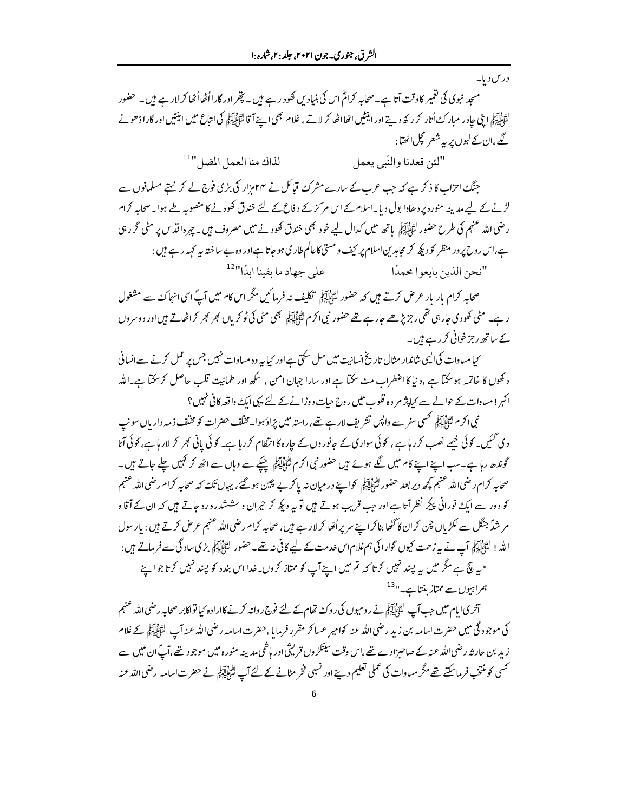درس دیا۔

سجد نبوی کی تغمیر کا وقت آتا ہے۔صحابہ کرامؓ اس کی بنیاد س کھود رہے ہیں۔ پتجر اور گارااُٹھااُٹھا کر لار ہے ہیں۔ حضور الدون ہے۔<br>سُوَّبِاٰیٓآبِلِی اپنی حاِدر مبار کُ اُتار کر رکھ دیتے اور اینٹیں اٹھااٹھا کر لاتے ، غلام بھی اپنے اپنے کا اپنے میں اینٹیں اور گارا ڈھونے گے ،ان کے لبوں پر یہ شعر مچل اٹھتا:

> لذاك منا العمل المضل "11 "لئن قعدنا والنّبي يعمل

جنگ احزاب کا ذکر ہے کہ جب عرب کے سارے مشرک قیائل نے ۴۴ہزار کی بڑی فوج لے کر نہتے مسلمانوں سے لڑنے کے لیے مدینہ منورہ پر دھادا بول دیا۔اسلام کے اس مرکز کے دفاع کے لئے خندق کھودنے کا منصوبہ طے ہوا۔صحابہ کرام رضی اللہ عنہم کی طرح حضور اتّٰہ البیّٰہِ ہاتھ میں کدال لیے خود بھی خندق کھودنے میں مصروف میں۔چہرہ اقد س پر مٹی گر رہی ہے،اس روح پر ور منظر کو دیکھ کر مجاہدین اسلام پر کیف و مستی کاعالم طار کی ہو جاتا ہےاور وہ بے ساختہ بیہ کہہ رہے ہیں : على جهاد ما يقينا ايدًا"<sup>12</sup> "نحن الذين بايعوا محمدًا

صحابہ کرام بار بار عرض کرتے ہیں کہ حضور لٹائاتی کی تکلیف نہ فرمائیں مگر اس کام میں آپؐ اسی انہاک<sup>ی</sup> سے مشغول ر ہے۔ مٹی کھودی جارہی تھی رجزیڑھے جار ہے تھے حضور نبی اکرم لٹا پایہ کچھ ہٹی کی ٹو کر ماں کجر کجر کراٹھاتے ہیں اور دوسروں کے ساتھ رجز خوانی کررہے ہیں۔

<sup>ی</sup>یا مساوات کی ایسی شاندار مثال تاریخ انسانیت میں مل سکتی ہے اور <sub>کیا ہ</sub> وہ مساوات نہیں جس پر عمل کرنے سے انسانی د گھوں کا خاتمہ ہوسکتا ہے ،دنیا کااضطراب مٹ سکتا ہے اور سارا جہان امن ، سکھ اور طمانیت قلب حاصل کرسکتا ہے۔اللہ اکبر ! مساوات کے حوالے سے کیا پژ مر دہ قلوب میں روح حیات دوڑانے کے لئے یہی ایک واقعہ کافی نہیں ؟

نبی اکرم سین ہے۔<br>نبی اکرم سینی ایکھ کسی سفر سے واپس تشریف لار ہے تھے، راستہ میں پڑاؤ ہوا۔مخلف حضرات کو مخلف ذ مہ داریاں سونپ دی گئیں۔ کوئی خیبے نصب کررہا ہے ، کوئی سواری کے جانوروں کے جارہ کا انتظام کررہا ہے۔ کوئی پانی ٹجر کر لارہا ہے، کوئی آٹا گوندھ رہاہے۔سب اپنے اپنے کام میں لگے ہوئے ہیں حضور نبی اکرم لٹاہلیہ آؤ جنکے سے وہاں سے اٹھ کر کہیں چلے جاتے ہیں۔ صحابہ کرام رضی اللہ عنہم کچھ دیر بعد حضور لٹائاتی کو اپنے در میان نہ یا کر بے چین ہو گئے، یہاں تک کہ صحابہ کرام رضي الله عنہم کو دور سے ایک نورانی پیکر نظر آتا ہے اور جب قریب ہوتے ہیں تو یہ دبکھ کر حیران و سششدرہ رہ جاتے ہیں کہ ان کے آقا و مر شدگر جنگل سے لکڑیاں چن کران کا گٹھا بناکرا ہے سریر اُٹھا کر لار ہے ہیں، صحابہ کرام رضی اللہ عنہم عرض کرتے ہیں : بار سول اللہ! لِتُعَيْلِيَهِمْ آپ نے ہیرزحمت کیوں گوارا کی ہم غلام اس خدمت کے لیے کافی نہ تھے۔ حضور لِتُبَيّلِيَهِمْ بڑی ساد گی سے فرماتے ہیں : " سے نتیج ہے مگر میں سے پسند نہیں کرتا کہ تم میں اپنے آپ کو ممتاز کروں۔خدااس بندہ کو پسند نہیں کرتا جو اپنے

ہمراہیوں سے ممتاز بنتاہے۔"<sup>13</sup>

آخری ایام میں جب آپ لٹائالیہوں نے رومیوں کی روک تھام کے لئے فوج روانہ کرنے کااراد ہ کیاتواکابر صحابہ رضی الله عنہم کی موجود گی میں حضرت اسامہ بن زید رضی اللہ عنہ کوامیر عساکر مقرر فرمایا ،حضرت اسامہ رضی اللہ عنہ آپ لﷺ کے غلام زید بن جار ثہ رضی اللہ عنہ کے صاحبزادے تھے،اس وقت سینکڑوں قرینی اور ہاشمی مدینہ منورہ میں موجود تھے،آگ ان میں سے <sup>کس</sup>ی کو منتخب فرماسکتے تھے مگر مساوات کی عملی تعلیم دینے اور نسبی فخر مٹانے کے لئےآپ لٹا<u>ئیاتی</u>کی نے حضرت اسامہ رضی اللہ عنہ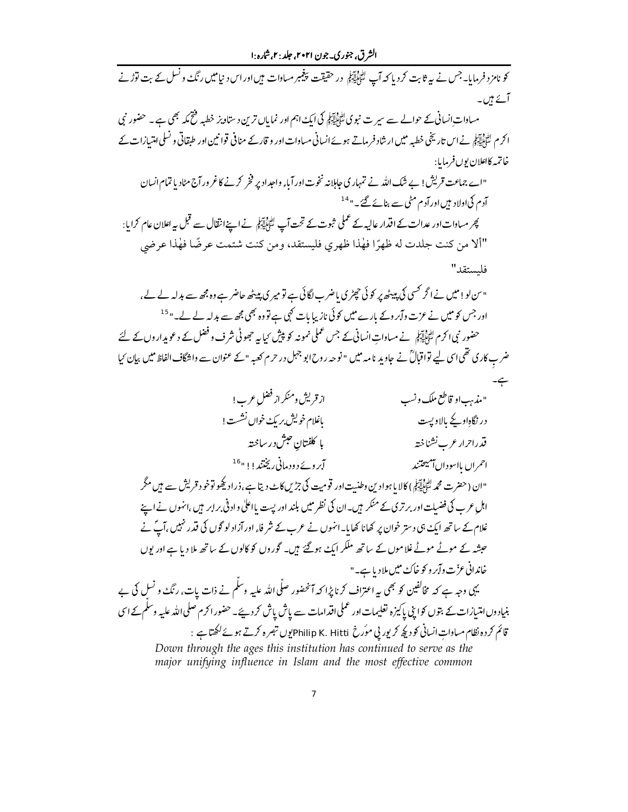کو نامز د فرمایا۔جس نے پیر ثابت کردیا کہ آپ لٹائِلِیٓلِہٖ در حقیقت پیغمبر مسادات ہیںاور اس د نیامیں رنگ و نسل کے بت توڑنے آئے ہیں۔ مساوات ِانسانی کے حوالے سے سیر ت نبو کی لٹی ایکنی ایک اہم اور نما ہاں ترین د ستاویز خطبہ رفتح مکہ بھی ہے۔ حضور نبی ا کرم لٹائلیکنی نے اس تاریخی خطبہ میں ارشاد فرماتے ہوئے انسانی مساوات اور و قارکے منافی قوانین اور طبقاتی و نسلى امتسازات کے خاتمە كاعلان بوں فرمایا : "اے جماعت قریش! بے شک اللہ نے تمہاری حاملانہ نخوت اور آباء واحداد پر فخر کرنے کا غرور آج مٹادیا تمام انسان آدم کی اولاد ہیں اور آدم مٹی سے بنائے گئے۔" <sup>14</sup> پھر مساوات اور عدالت کے اقدار عالیہ کے عملی ثبوت کے تحت آپ لٹائِلِیٓلِہٖۡ نے اپنےانقال سے قبل پہ اعلان عام کرایا: "ألا من كنت جلدت له ظهرًا فهٰذا ظهري فليستقد، ومن كنت شتمت عرضًا فهٰذا عرضي فلستقد" " س لو! میں نے اگر کسی کی پیٹھ پر کوئی چیڑی باضرب لگائی ہے تو میر کی پیٹھ حاضر ہے وہ جھ سے بدلہ لے لے ، اور جس کو میں نے عزت وآبر وکے بارے میں کوئی نازیبا بات کہی ہے تو وہ بھی مجھ سے بدلہ لے لے۔" <sup>15</sup> حضور نبی اکرم لٹی ایکم نے مساوات انسانی کے جس عملی نمونہ کو پیش کیا ہے جھوٹی شرف و فضل کے دعو پداروں کے لئے ضرب کاری تھی اسی لیے تواقبالؒ نے جاویدِ نامہ میں " نوحہ روح ابو جہل در حرم کعبہ " کے عنوان سے واشگاف الفاظ میں بیان کیا از قریش ومنکر از فضل عرب! "مذبب او قاطع ملک و نسب بإغلام خوليش بريك خوال نشست! در نگاہاویجے بالاویست با كلفتان حبش درساخته قدراحرار عرب نشناخته آبروۓ دود مانی ریختند!!" <sup>16</sup> احمران بااسودان آميتحتند "ان (حضرت محمه لتَّخْلِيَّة کِمْ) کالا یا ہوادین وطنیت اور قومیت کی جڑیں کاٹ دیتا ہے ،ذراد کچھو توخود قریش سے ہیں مگر اہل عرب کی فضیلت اور برتری کے منکر ہیں۔ان کی نظر میں بلند اور پست یااعلیٰ واد ٹی برابر ہیں ،انہوں نے اپنے غلام کے ساتھ ایک ہی دستر خوان پر کھانا کھایا۔انہوں نے عرب کے شر فاء اور آزاد لو گوں کی قدر نہیں ،آپؐ نے حبشہ کے موٹے موٹے غلاموں کے ساتھ ملکر ایک ہو گئے ہیں۔ گوروں کو کالوں کے ساتھ ملا دیا ہے اور یوں خاندانی عزّت وآبر و کو خاکء میں ملادیا ہے۔" یہی وجہ ہے کہ مخالفین کو بھی بیراعتراف کرنا پڑا کہ آنحضور صلّی اللّٰہ علیہ وسلّم نے ذات بات، رنگ و نسل کی بے بنیاد وں امتیازات کے بتوں کواپنی پاکیزہ تعلیمات اور عملی اقدامات سے پاش پاش کر دیئے۔حضور اکرم صلی اللہ علیہ وسلم کے اسی قائم کر دہ نظام مساوات انسانی کو دیکھ کر پور پی موّرخ Philip K. Hittiپوں تبصرہ کرتے ہوئے لکھتاہے : Down through the ages this institution has continued to serve as the major unifying influence in Islam and the most effective common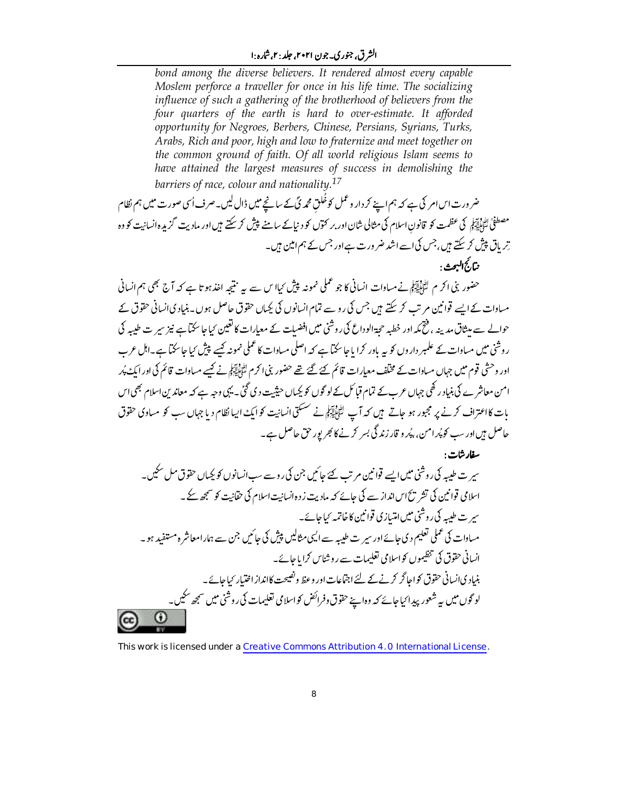### الشرق، جنوري-جون ۲۰۲۱، جلد : ۲،شاره :ا

bond among the diverse believers. It rendered almost every capable Moslem perforce a traveller for once in his life time. The socializing influence of such a gathering of the brotherhood of believers from the four quarters of the earth is hard to over-estimate. It afforded opportunity for Negroes, Berbers, Chinese, Persians, Syrians, Turks, Arabs, Rich and poor, high and low to fraternize and meet together on the common ground of faith. Of all world religious Islam seems to have attained the largest measures of success in demolishing the barriers of race, colour and nationality.<sup>17</sup>

ضر ورت اس امر کی ہے کہ ہم اپنے کر دار و عمل کوخُلق محمہ کی کے سانچے میں ڈال لیں۔صرف اُسی صورت میں ہم نظام مصطفیٰ لٹا ایش کی عظمت کو قانون اسلام کی مثالی شان اور بر کتوں کو دیاکے سامنے پیش کر سکتے ہیں اور مادیت گزیدہ انسانیت کو وہ تر باق پیش کر سکتے ہیں، جس کی اسے اشد ضر ورت ہےاور جس کے ہم امین ہیں۔ وبتاركج البحث .

حضور بنی اکر م لٹیﷺ نے مساوات انسانی کا جو عملی نمونہ پیش کیاا س سے ہیہ نتیجہ اخذ ہوتا ہے کہ آج بھی ہم انسانی مساوات کے ایسے قوانین مرتب کر سکتے ہیں جس کی رو سے تمام انسانوں کی بکیاں حقوق حاصل ہوں ۔بنیاد کی انسانی حقوق کے حوالے سے میثاق مدینہ ، فنیمہ اور خطبہ حجۃالوداع کی روشنی میں افضیات کے معیارات کا تعین کیا جاسکتاہے نیز سیر ت طیبیہ کی ر وشی میں مساوات کے علمبر داروں کو بیہ باور کرا یا جاسکتا ہے کہ اصلی مساوات کا عملی نمونہ کیے پیش کیا جاسکتا ہے۔اہل عرب اور وحشی قوم میں جہاں مساوات کے مخلف معیارات قائم کئے گئے تھے حضور بنی اکرم لٹی ایکوانے کیے مساوات قائم کی اور ایک پُر امن معاشر ے کی بنیاد رکھی جہاں عرب کے تمام قیائل کے لو گوں کو بکیاں حیثیت دی گئی۔ یہی وجہ ہے کہ معاند بن اسلام بھی اس بات کااعتراف کرنے پر مجبور ہو جاتے ہیں کہ آپ ﷺ نے سسکتی انسانیت کو ایک ایپا نظام دیا جہاں سب کو مساوی حقوق حاصل ہیںاور سب کو پُر امن، پُہر و قار زند گی بسر کرنے کا ہجر پور حق حاصل ہے۔

سفارشات : سپر ت طیبہ کی روشنی میں ایسے قوانین مرتب کئے جائیں جن کی روسے سب انسانوں کو بکیاں حقوق مل سکیں۔ اسلامی قوانین کی تشر پڑاس انداز سے کی جائے کہ مادیت زدہ انسانیت اسلام کی حقانیت کو سمجھ کے ۔ سمر ت طیبیہ کی روشنی میں امتیازی قوانین کاخاتمہ کیاجائے۔ مساوات کی عملی تعلیم دی جائےاور سیر ت طیبہ سے ایپی مثالیں پیش کی جائیں جن سے ہمارامعاشر ہ مستفید ہو۔ انسانی حقوق کی تنظیموں کواسلامی تعلیمات سے روشناس کرایا جائے۔ .<br>بنیادی انسانی حقوق کواجا *گر* کرنے کے لئے اجتماعات اور وعظ ونصیحت کاانداز اختیار کیاجائے ۔ لو گوں میں بہ شعور پیدا <sub>کیا</sub>جائے کہ وہ اپنے حقوق وفرائض کواسلامی تعلیمات کی روشنی میں سمجھ سکیں۔  $_{\odot}$ 

This work is licensed under a Creative Commons Attribution 4.0 International License.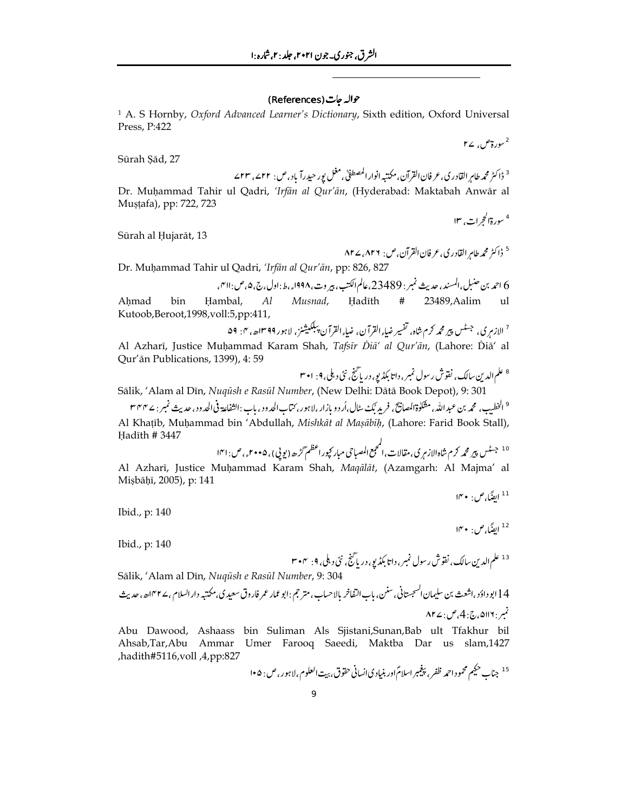#### حوالہ جات (References)

<sup>1</sup> A. S Hornby, Oxford Advanced Learner's Dictionary, Sixth edition, Oxford Universal Press, P:422

 $r_1$ سورة ص

Sūrah Sād, 27

Dr. Muḥammad Tahir ul Qadri, 'Irfān al Qur'ān, (Hyderabad: Maktabah Anwār al Mustafa), pp: 722, 723 <sup>4</sup> سورة الحجرات، ١٣

Sūrah al Ḥujarāt, 13

$$
\mathsf{APZ}_\epsilon \mathsf{APT} : (\mathcal{O}_\epsilon) \rtimes \mathsf{G} \cup \mathsf{C} \mathsf{C} \rightarrow \mathsf{C} \mathsf{C}
$$

Dr. Muḥammad Tahir ul Qadri, 'Irfān al Qur'ān, pp: 826, 827

م

Ahmad bin Hambal,  $Al$ Musnad, Hadīth 23489, Aalim  $u$ 1 # Kutoob,Beroot,1998,voll:5,pp:411,  $\cdot$   $\overline{A}$ 

Sālik, 'Alam al Dīn, Nuqūsh e Rasūl Number, (New Delhi: Dātā Book Depot), 9: 301

<sup>9</sup> الخطيب، محمه بن عبد الله، مقلوةالمصانيح، فريد بُك سال،أر دو بازار،لاہور، كتاب الحدود ، باب :الثفاعة فى الحدود، حديث نمبر : ۲۴۴ م Al Khaṭīb, Muḥammad bin 'Abdullah, Mishkāt al Maṣābīḥ, (Lahore: Farid Book Stall), Hadīth # 3447

Al Azharī, Justice Muḥammad Karam Shah, Maqālāt, (Azamgarh: Al Majma' al Mișbāḥī, 2005), p: 141

 $\mathsf{I}^\mathsf{w}\bullet:\mathsf{I}^\mathsf{q}$ ايضًا، ص

<sup>12</sup> ايضًا،ص: • ۱۴

Ibid., p: 140

Ibid., p: 140

Sālik, 'Alam al Dīn, Nuqūsh e Rasūl Number, 9: 304

Abu Dawood, Ashaass bin Suliman Als Sjistani, Sunan, Bab ult Tfakhur bil Ahsab,Tar,Abu Ammar Umer Farooq Saeedi, Maktba Dar us slam,1427 A,pp:827, hadith#5116,voll,